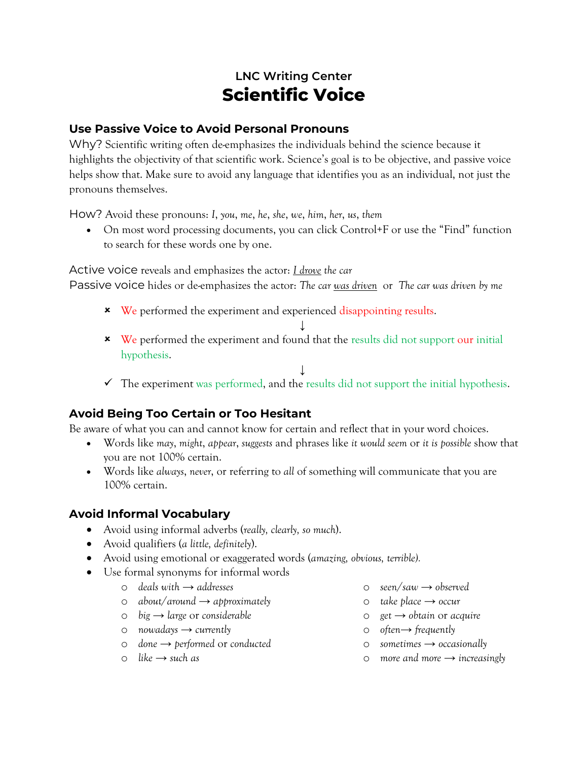# **LNC Writing Center Scientific Voice**

## **Use Passive Voice to Avoid Personal Pronouns**

Why? Scientific writing often de-emphasizes the individuals behind the science because it highlights the objectivity of that scientific work. Science's goal is to be objective, and passive voice helps show that. Make sure to avoid any language that identifies you as an individual, not just the pronouns themselves.

How? Avoid these pronouns: *I*, *you*, *me*, *he*, *she*, *we*, *him*, *her*, *us*, *them*

 On most word processing documents, you can click Control+F or use the "Find" function to search for these words one by one.

Active voice reveals and emphasizes the actor: *I drove the car*

Passive voice hides or de-emphasizes the actor: *The car was driven* or *The car was driven by me*

- **\*** We performed the experiment and experienced disappointing results.
	- ↓
- \* We performed the experiment and found that the results did not support our initial hypothesis.
- ↓  $\checkmark$  The experiment was performed, and the results did not support the initial hypothesis.

## **Avoid Being Too Certain or Too Hesitant**

Be aware of what you can and cannot know for certain and reflect that in your word choices.

- Words like *may*, *might*, *appear*, *suggests* and phrases like *it would seem* or *it is possible* show that you are not 100% certain.
- Words like *always*, *never*, or referring to *all* of something will communicate that you are 100% certain.

## **Avoid Informal Vocabulary**

- Avoid using informal adverbs (*really, clearly, so much*).
- Avoid qualifiers (*a little, definitely*).
- Avoid using emotional or exaggerated words (*amazing, obvious, terrible).*
- Use formal synonyms for informal words
	- o *deals with → addresses*
	- o *about*/*around → approximately*
	- o *big → large* or *considerable*
	- o *nowadays → currently*
	- o *done → performed* or *conducted*
	- o *like → such as*
- o *seen*/*saw → observed*
- o *take place → occur*
- o *get → obtain* or *acquire*
- o *often→ frequently*
- o *sometimes → occasionally*
- o *more and more → increasingly*